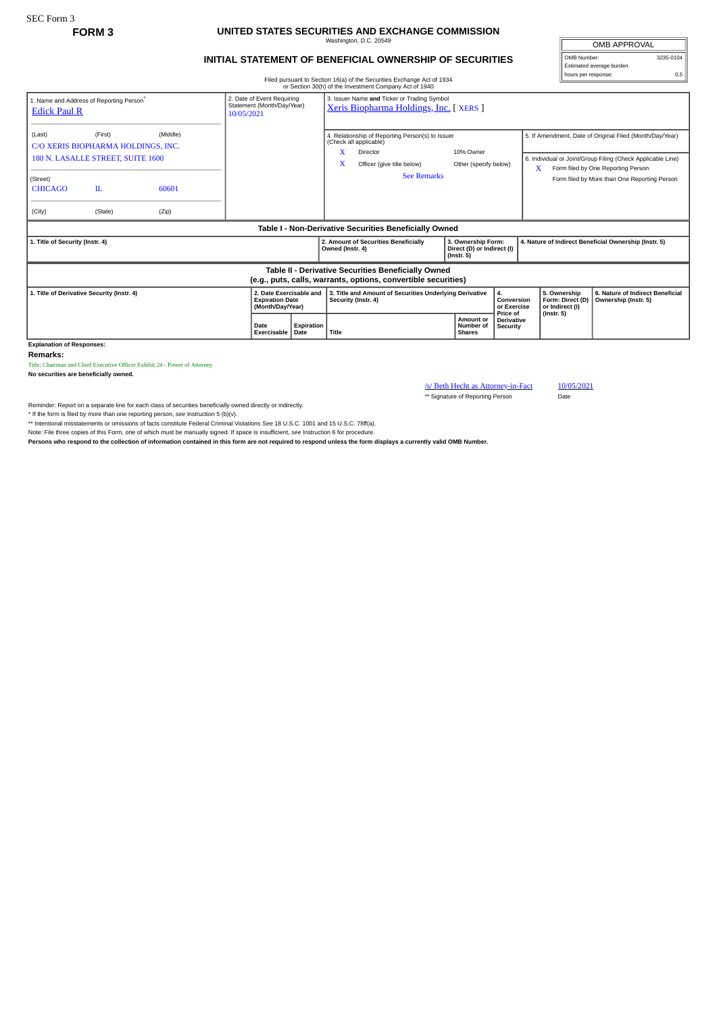## **FORM 3 UNITED STATES SECURITIES AND EXCHANGE COMMISSION** Washington, D.C. 20549

## **INITIAL STATEMENT OF BENEFICIAL OWNERSHIP OF SECURITIES**

OMB APPROVAL OMB Number: 3235-0104 Estimated average burden hours per response: 0.5

Filed pursuant to Section 16(a) of the Securities Exchange Act of 1934 or Section 30(h) of the Investment Company Act of 1940

| 1. Name and Address of Reporting Person®<br><b>Edick Paul R</b>                                                       |                                                                                                     |                            | 2. Date of Event Requiring<br>Statement (Month/Day/Year)<br>10/05/2021 |                                                                       | 3. Issuer Name and Ticker or Trading Symbol<br>Xeris Biopharma Holdings, Inc. [XERS] |                                                                                                                                            |  |                                                                      |                               |                                                     |                                                                                                                                                                                                               |
|-----------------------------------------------------------------------------------------------------------------------|-----------------------------------------------------------------------------------------------------|----------------------------|------------------------------------------------------------------------|-----------------------------------------------------------------------|--------------------------------------------------------------------------------------|--------------------------------------------------------------------------------------------------------------------------------------------|--|----------------------------------------------------------------------|-------------------------------|-----------------------------------------------------|---------------------------------------------------------------------------------------------------------------------------------------------------------------------------------------------------------------|
| (Last)<br>(Street)<br><b>CHICAGO</b><br>(City)                                                                        | (First)<br>C/O XERIS BIOPHARMA HOLDINGS, INC.<br>180 N. LASALLE STREET, SUITE 1600<br>IL<br>(State) | (Middle)<br>60601<br>(Zip) |                                                                        |                                                                       | x<br>x                                                                               | 4. Relationship of Reporting Person(s) to Issuer<br>(Check all applicable)<br>Director<br>Officer (give title below)<br><b>See Remarks</b> |  | 10% Owner<br>Other (specify below)                                   |                               |                                                     | 5. If Amendment, Date of Original Filed (Month/Day/Year)<br>6. Individual or Joint/Group Filing (Check Applicable Line)<br>Form filed by One Reporting Person<br>Form filed by More than One Reporting Person |
| Table I - Non-Derivative Securities Beneficially Owned                                                                |                                                                                                     |                            |                                                                        |                                                                       |                                                                                      |                                                                                                                                            |  |                                                                      |                               |                                                     |                                                                                                                                                                                                               |
| 1. Title of Security (Instr. 4)                                                                                       |                                                                                                     |                            |                                                                        |                                                                       | Owned (Instr. 4)                                                                     | 2. Amount of Securities Beneficially                                                                                                       |  | 3. Ownership Form:<br>Direct (D) or Indirect (I)<br>$($ Instr. 5 $)$ |                               |                                                     | 4. Nature of Indirect Beneficial Ownership (Instr. 5)                                                                                                                                                         |
| Table II - Derivative Securities Beneficially Owned<br>(e.g., puts, calls, warrants, options, convertible securities) |                                                                                                     |                            |                                                                        |                                                                       |                                                                                      |                                                                                                                                            |  |                                                                      |                               |                                                     |                                                                                                                                                                                                               |
| 1. Title of Derivative Security (Instr. 4)                                                                            |                                                                                                     |                            |                                                                        | 2. Date Exercisable and<br><b>Expiration Date</b><br>(Month/Day/Year) |                                                                                      | 3. Title and Amount of Securities Underlying Derivative<br>Security (Instr. 4)                                                             |  | 4.<br>Conversion<br>or Exercise<br>Price of                          |                               | 5. Ownership<br>Form: Direct (D)<br>or Indirect (I) | 6. Nature of Indirect Beneficial<br>Ownership (Instr. 5)                                                                                                                                                      |
|                                                                                                                       |                                                                                                     |                            | Date<br>Exercisable                                                    | Expiration<br>Date                                                    | Title                                                                                |                                                                                                                                            |  | <b>Amount or</b><br>Number of<br><b>Shares</b>                       | <b>Derivative</b><br>Security | $($ lnstr. 5 $)$                                    |                                                                                                                                                                                                               |
| <b>Explanation of Responses:</b>                                                                                      |                                                                                                     |                            |                                                                        |                                                                       |                                                                                      |                                                                                                                                            |  |                                                                      |                               |                                                     |                                                                                                                                                                                                               |

**Remarks:**

Title: Chairman and Chief Executive Officer Exhibit 24 - Power of Attorney

**No securities are beneficially owned.**

/s/ Beth Hecht as Attorney-in-Fact 10/05/2021 \*\* Signature of Reporting Person Date

Reminder: Report on a separate line for each class of securities beneficially owned directly or indirectly.

\* If the form is filed by more than one reporting person, see Instruction 5 (b)(v).<br>\*\* Intentional misstatements or omissions of facts constitute Federal Criminal Violations See 18 U.S.C. 1001 and 15 U.S.C. 78ff(a).

Note: File three copies of this Form, one of which must be manually signed. If space is insufficient, *see* Instruction 6 for procedure.

**Persons who respond to the collection of information contained in this form are not required to respond unless the form displays a currently valid OMB Number.**